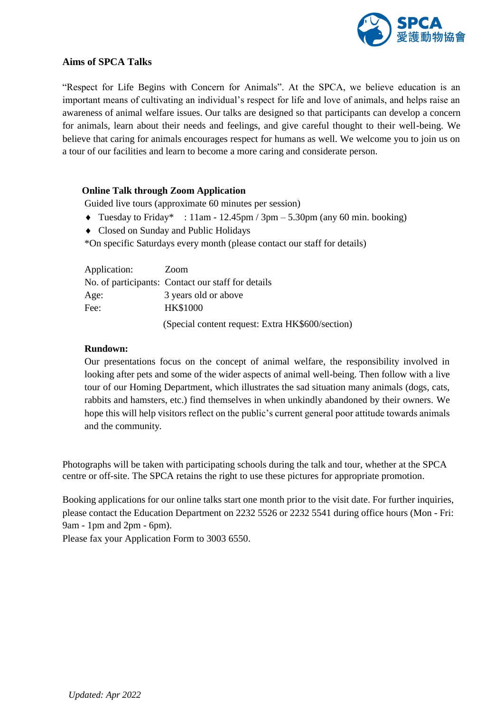

# **Aims of SPCA Talks**

"Respect for Life Begins with Concern for Animals". At the SPCA, we believe education is an important means of cultivating an individual's respect for life and love of animals, and helps raise an awareness of animal welfare issues. Our talks are designed so that participants can develop a concern for animals, learn about their needs and feelings, and give careful thought to their well-being. We believe that caring for animals encourages respect for humans as well. We welcome you to join us on a tour of our facilities and learn to become a more caring and considerate person.

## **Online Talk through Zoom Application**

Guided live tours (approximate 60 minutes per session)

- Tuesday to Friday\* :  $11$ am  $12.45$ pm / 3pm  $5.30$ pm (any 60 min. booking)
- Closed on Sunday and Public Holidays
- \*On specific Saturdays every month (please contact our staff for details)

| Application: | Zoom                                               |
|--------------|----------------------------------------------------|
|              | No. of participants: Contact our staff for details |
| Age:         | 3 years old or above                               |
| Fee:         | <b>HK\$1000</b>                                    |
|              | (Special content request: Extra HK\$600/section)   |

## **Rundown:**

Our presentations focus on the concept of animal welfare, the responsibility involved in looking after pets and some of the wider aspects of animal well-being. Then follow with a live tour of our Homing Department, which illustrates the sad situation many animals (dogs, cats, rabbits and hamsters, etc.) find themselves in when unkindly abandoned by their owners. We hope this will help visitors reflect on the public's current general poor attitude towards animals and the community*.*

Photographs will be taken with participating schools during the talk and tour, whether at the SPCA centre or off-site. The SPCA retains the right to use these pictures for appropriate promotion.

Booking applications for our online talks start one month prior to the visit date. For further inquiries, please contact the Education Department on 2232 5526 or 2232 5541 during office hours (Mon - Fri: 9am - 1pm and 2pm - 6pm).

Please fax your Application Form to 3003 6550.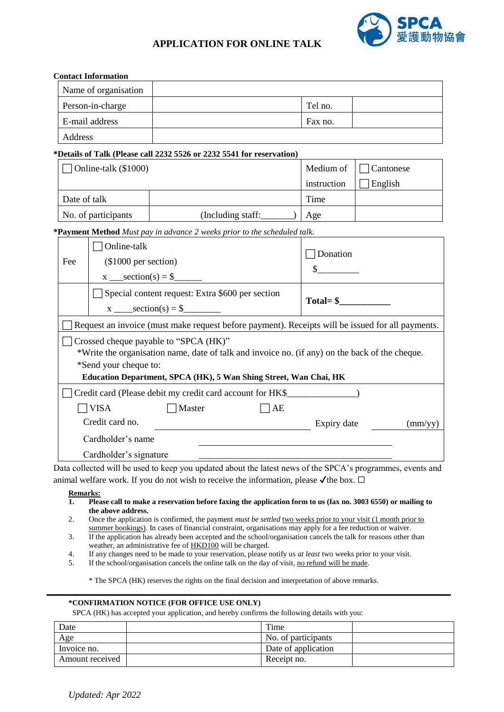

# **APPLICATION FOR ONLINE TALK**

|                      | <b>Contact Information</b>                                                                                                                                                                                                           |                                                                                                              |             |                  |  |  |  |
|----------------------|--------------------------------------------------------------------------------------------------------------------------------------------------------------------------------------------------------------------------------------|--------------------------------------------------------------------------------------------------------------|-------------|------------------|--|--|--|
|                      | Name of organisation                                                                                                                                                                                                                 |                                                                                                              |             |                  |  |  |  |
| Person-in-charge     |                                                                                                                                                                                                                                      |                                                                                                              | Tel no.     |                  |  |  |  |
| E-mail address       |                                                                                                                                                                                                                                      |                                                                                                              | Fax no.     |                  |  |  |  |
| Address              |                                                                                                                                                                                                                                      |                                                                                                              |             |                  |  |  |  |
|                      |                                                                                                                                                                                                                                      | *Details of Talk (Please call 2232 5526 or 2232 5541 for reservation)                                        |             |                  |  |  |  |
| Online-talk (\$1000) |                                                                                                                                                                                                                                      |                                                                                                              | Medium of   | Cantonese        |  |  |  |
|                      |                                                                                                                                                                                                                                      |                                                                                                              | instruction | English          |  |  |  |
| Date of talk         |                                                                                                                                                                                                                                      |                                                                                                              | Time        |                  |  |  |  |
|                      | No. of participants                                                                                                                                                                                                                  |                                                                                                              | Age         |                  |  |  |  |
|                      |                                                                                                                                                                                                                                      | *Payment Method Must pay in advance 2 weeks prior to the scheduled talk.                                     |             |                  |  |  |  |
|                      | Online-talk                                                                                                                                                                                                                          |                                                                                                              |             |                  |  |  |  |
| Fee                  |                                                                                                                                                                                                                                      | (\$1000 per section)                                                                                         |             | Donation         |  |  |  |
|                      |                                                                                                                                                                                                                                      |                                                                                                              |             | $\sim$           |  |  |  |
|                      |                                                                                                                                                                                                                                      | Special content request: Extra \$600 per section                                                             |             |                  |  |  |  |
|                      |                                                                                                                                                                                                                                      | $x$ _____ section(s) = \$________                                                                            | $Total = $$ |                  |  |  |  |
|                      |                                                                                                                                                                                                                                      | Request an invoice (must make request before payment). Receipts will be issued for all payments.             |             |                  |  |  |  |
|                      |                                                                                                                                                                                                                                      | Crossed cheque payable to "SPCA (HK)"                                                                        |             |                  |  |  |  |
|                      |                                                                                                                                                                                                                                      | *Write the organisation name, date of talk and invoice no. (if any) on the back of the cheque.               |             |                  |  |  |  |
|                      | *Send your cheque to:                                                                                                                                                                                                                |                                                                                                              |             |                  |  |  |  |
|                      |                                                                                                                                                                                                                                      | Education Department, SPCA (HK), 5 Wan Shing Street, Wan Chai, HK                                            |             |                  |  |  |  |
|                      |                                                                                                                                                                                                                                      | Credit card (Please debit my credit card account for HK\$_________________________                           |             |                  |  |  |  |
|                      | <b>VISA</b>                                                                                                                                                                                                                          | Master<br>AE                                                                                                 |             |                  |  |  |  |
|                      | Credit card no.                                                                                                                                                                                                                      |                                                                                                              | Expiry date | $\text{(mm/yy)}$ |  |  |  |
|                      | Cardholder's name                                                                                                                                                                                                                    |                                                                                                              |             |                  |  |  |  |
|                      | Cardholder's signature                                                                                                                                                                                                               |                                                                                                              |             |                  |  |  |  |
|                      |                                                                                                                                                                                                                                      | Data collected will be used to keep you updated about the latest news of the SPCA's programmes, events and   |             |                  |  |  |  |
| <b>Remarks:</b>      |                                                                                                                                                                                                                                      | animal welfare work. If you do not wish to receive the information, please $\checkmark$ the box. $\Box$      |             |                  |  |  |  |
| 1.                   |                                                                                                                                                                                                                                      | Please call to make a reservation before faxing the application form to us (fax no. 3003 6550) or mailing to |             |                  |  |  |  |
| 2.                   | the above address.<br>Once the application is confirmed, the payment <i>must be settled</i> two weeks prior to your visit (1 month prior to                                                                                          |                                                                                                              |             |                  |  |  |  |
|                      | summer bookings). In cases of financial constraint, organisations may apply for a fee reduction or waiver.<br>If the application has already been accepted and the school/organisation cancels the talk for reasons other than<br>3. |                                                                                                              |             |                  |  |  |  |
|                      | weather, an administrative fee of <b>HKD100</b> will be charged.                                                                                                                                                                     |                                                                                                              |             |                  |  |  |  |

- 4. If any changes need to be made to your reservation, please notify us *at least* two weeks prior to your visit.<br>5. If the school/organisation cancels the online talk on the day of visit, no refund will be made.
- If the school/organisation cancels the online talk on the day of visit, no refund will be made.

\* The SPCA (HK) reserves the rights on the final decision and interpretation of above remarks.

#### **\*CONFIRMATION NOTICE (FOR OFFICE USE ONLY)**

SPCA (HK) has accepted your application, and hereby confirms the following details with you:

| Date            | Time                |  |
|-----------------|---------------------|--|
| Age             | No. of participants |  |
| Invoice no.     | Date of application |  |
| Amount received | Receipt no.         |  |